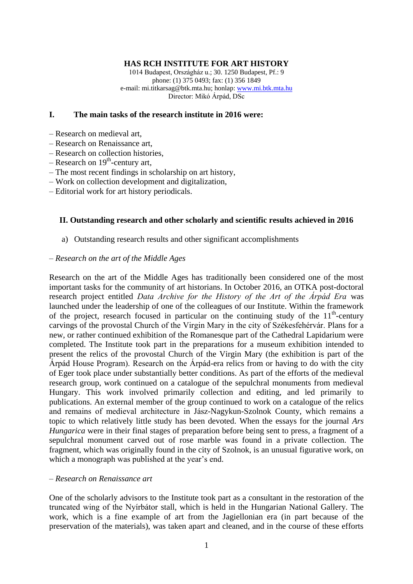### **HAS RCH INSTITUTE FOR ART HISTORY**

1014 Budapest, Országház u.; 30. 1250 Budapest, Pf.: 9 phone: (1) 375 0493; fax: (1) 356 1849 e-mail: mi.titkarsag@btk.mta.hu; honlap[: www.mi.btk.mta.hu](http://www.mi.btk.mta.hu/) Director: Mikó Árpád, DSc

### **I. The main tasks of the research institute in 2016 were:**

- Research on medieval art,
- Research on Renaissance art,
- Research on collection histories,
- Research on 19<sup>th</sup>-century art,
- The most recent findings in scholarship on art history,
- Work on collection development and digitalization,
- Editorial work for art history periodicals.

### **II. Outstanding research and other scholarly and scientific results achieved in 2016**

a) Outstanding research results and other significant accomplishments

#### *– Research on the art of the Middle Ages*

Research on the art of the Middle Ages has traditionally been considered one of the most important tasks for the community of art historians. In October 2016, an OTKA post-doctoral research project entitled *Data Archive for the History of the Art of the Árpád Era* was launched under the leadership of one of the colleagues of our Institute. Within the framework of the project, research focused in particular on the continuing study of the  $11<sup>th</sup>$ -century carvings of the provostal Church of the Virgin Mary in the city of Székesfehérvár. Plans for a new, or rather continued exhibition of the Romanesque part of the Cathedral Lapidarium were completed. The Institute took part in the preparations for a museum exhibition intended to present the relics of the provostal Church of the Virgin Mary (the exhibition is part of the Árpád House Program). Research on the Árpád-era relics from or having to do with the city of Eger took place under substantially better conditions. As part of the efforts of the medieval research group, work continued on a catalogue of the sepulchral monuments from medieval Hungary. This work involved primarily collection and editing, and led primarily to publications. An external member of the group continued to work on a catalogue of the relics and remains of medieval architecture in Jász-Nagykun-Szolnok County, which remains a topic to which relatively little study has been devoted. When the essays for the journal *Ars Hungarica* were in their final stages of preparation before being sent to press, a fragment of a sepulchral monument carved out of rose marble was found in a private collection. The fragment, which was originally found in the city of Szolnok, is an unusual figurative work, on which a monograph was published at the year's end.

### *– Research on Renaissance art*

One of the scholarly advisors to the Institute took part as a consultant in the restoration of the truncated wing of the Nyírbátor stall, which is held in the Hungarian National Gallery. The work, which is a fine example of art from the Jagiellonian era (in part because of the preservation of the materials), was taken apart and cleaned, and in the course of these efforts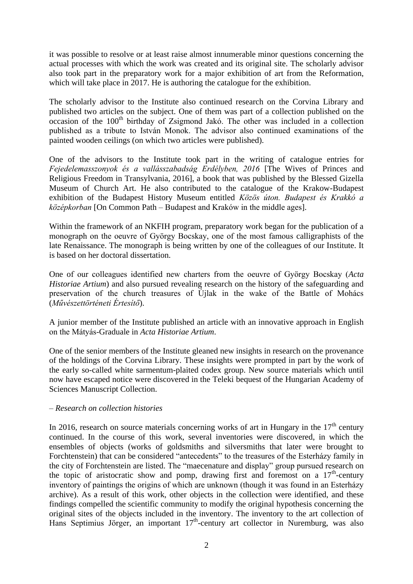it was possible to resolve or at least raise almost innumerable minor questions concerning the actual processes with which the work was created and its original site. The scholarly advisor also took part in the preparatory work for a major exhibition of art from the Reformation, which will take place in 2017. He is authoring the catalogue for the exhibition.

The scholarly advisor to the Institute also continued research on the Corvina Library and published two articles on the subject. One of them was part of a collection published on the  $\alpha$  occasion of the 100<sup>th</sup> birthday of Zsigmond Jakó. The other was included in a collection published as a tribute to István Monok. The advisor also continued examinations of the painted wooden ceilings (on which two articles were published).

One of the advisors to the Institute took part in the writing of catalogue entries for *Fejedelemasszonyok és a vallásszabadság Erdélyben, 2016* [The Wives of Princes and Religious Freedom in Transylvania, 2016], a book that was published by the Blessed Gizella Museum of Church Art. He also contributed to the catalogue of the Krakow-Budapest exhibition of the Budapest History Museum entitled *Közös úton. Budapest és Krakkó a középkorban* [On Common Path – Budapest and Kraków in the middle ages].

Within the framework of an NKFIH program, preparatory work began for the publication of a monograph on the oeuvre of György Bocskay, one of the most famous calligraphists of the late Renaissance. The monograph is being written by one of the colleagues of our Institute. It is based on her doctoral dissertation.

One of our colleagues identified new charters from the oeuvre of György Bocskay (*Acta Historiae Artium*) and also pursued revealing research on the history of the safeguarding and preservation of the church treasures of Újlak in the wake of the Battle of Mohács (*Művészettörténeti Értesítő*).

A junior member of the Institute published an article with an innovative approach in English on the Mátyás-Graduale in *Acta Historiae Artium*.

One of the senior members of the Institute gleaned new insights in research on the provenance of the holdings of the Corvina Library. These insights were prompted in part by the work of the early so-called white sarmentum-plaited codex group. New source materials which until now have escaped notice were discovered in the Teleki bequest of the Hungarian Academy of Sciences Manuscript Collection.

## *– Research on collection histories*

In 2016, research on source materials concerning works of art in Hungary in the  $17<sup>th</sup>$  century continued. In the course of this work, several inventories were discovered, in which the ensembles of objects (works of goldsmiths and silversmiths that later were brought to Forchtenstein) that can be considered "antecedents" to the treasures of the Esterházy family in the city of Forchtenstein are listed. The "maecenature and display" group pursued research on the topic of aristocratic show and pomp, drawing first and foremost on a  $17<sup>th</sup>$ -century inventory of paintings the origins of which are unknown (though it was found in an Esterházy archive). As a result of this work, other objects in the collection were identified, and these findings compelled the scientific community to modify the original hypothesis concerning the original sites of the objects included in the inventory. The inventory to the art collection of Hans Septimius Jörger, an important 17<sup>th</sup>-century art collector in Nuremburg, was also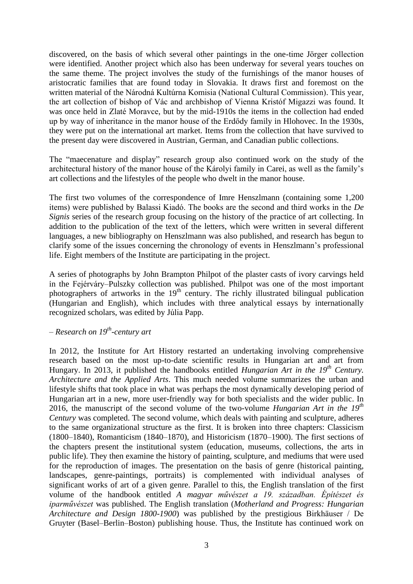discovered, on the basis of which several other paintings in the one-time Jörger collection were identified. Another project which also has been underway for several years touches on the same theme. The project involves the study of the furnishings of the manor houses of aristocratic families that are found today in Slovakia. It draws first and foremost on the written material of the Národná Kultúrna Komisia (National Cultural Commission). This year, the art collection of bishop of Vác and archbishop of Vienna Kristóf Migazzi was found. It was once held in Zlaté Moravce, but by the mid-1910s the items in the collection had ended up by way of inheritance in the manor house of the Erdődy family in Hlohovec. In the 1930s, they were put on the international art market. Items from the collection that have survived to the present day were discovered in Austrian, German, and Canadian public collections.

The "maecenature and display" research group also continued work on the study of the architectural history of the manor house of the Károlyi family in Carei, as well as the family's art collections and the lifestyles of the people who dwelt in the manor house.

The first two volumes of the correspondence of Imre Henszlmann (containing some 1,200 items) were published by Balassi Kiadó. The books are the second and third works in the *De Signis* series of the research group focusing on the history of the practice of art collecting. In addition to the publication of the text of the letters, which were written in several different languages, a new bibliography on Henszlmann was also published, and research has begun to clarify some of the issues concerning the chronology of events in Henszlmann's professional life. Eight members of the Institute are participating in the project.

A series of photographs by John Brampton Philpot of the plaster casts of ivory carvings held in the Fejérváry–Pulszky collection was published. Philpot was one of the most important photographers of artworks in the  $19<sup>th</sup>$  century. The richly illustrated bilingual publication (Hungarian and English), which includes with three analytical essays by internationally recognized scholars, was edited by Júlia Papp.

# *– Research on 19th -century art*

In 2012, the Institute for Art History restarted an undertaking involving comprehensive research based on the most up-to-date scientific results in Hungarian art and art from Hungary. In 2013, it published the handbooks entitled *Hungarian Art in the 19th Century. Architecture and the Applied Arts*. This much needed volume summarizes the urban and lifestyle shifts that took place in what was perhaps the most dynamically developing period of Hungarian art in a new, more user-friendly way for both specialists and the wider public. In 2016, the manuscript of the second volume of the two-volume *Hungarian Art in the 19th Century* was completed. The second volume, which deals with painting and sculpture, adheres to the same organizational structure as the first. It is broken into three chapters: Classicism (1800–1840), Romanticism (1840–1870), and Historicism (1870–1900). The first sections of the chapters present the institutional system (education, museums, collections, the arts in public life). They then examine the history of painting, sculpture, and mediums that were used for the reproduction of images. The presentation on the basis of genre (historical painting, landscapes, genre-paintings, portraits) is complemented with individual analyses of significant works of art of a given genre. Parallel to this, the English translation of the first volume of the handbook entitled *A magyar művészet a 19. században. Építészet és iparművészet* was published. The English translation (*Motherland and Progress: Hungarian Architecture and Design 1800-1900*) was published by the prestigious Birkhäuser / De Gruyter (Basel–Berlin–Boston) publishing house. Thus, the Institute has continued work on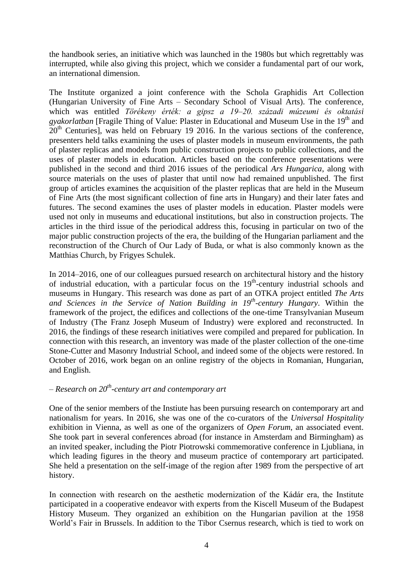the handbook series, an initiative which was launched in the 1980s but which regrettably was interrupted, while also giving this project, which we consider a fundamental part of our work, an international dimension.

The Institute organized a joint conference with the Schola Graphidis Art Collection (Hungarian University of Fine Arts – Secondary School of Visual Arts). The conference, which was entitled *Törékeny érték: a gipsz a 19–20. századi múzeumi és oktatási*  gyakorlatban [Fragile Thing of Value: Plaster in Educational and Museum Use in the 19<sup>th</sup> and  $20<sup>th</sup>$  Centuries], was held on February 19 2016. In the various sections of the conference, presenters held talks examining the uses of plaster models in museum environments, the path of plaster replicas and models from public construction projects to public collections, and the uses of plaster models in education. Articles based on the conference presentations were published in the second and third 2016 issues of the periodical *Ars Hungarica*, along with source materials on the uses of plaster that until now had remained unpublished. The first group of articles examines the acquisition of the plaster replicas that are held in the Museum of Fine Arts (the most significant collection of fine arts in Hungary) and their later fates and futures. The second examines the uses of plaster models in education. Plaster models were used not only in museums and educational institutions, but also in construction projects. The articles in the third issue of the periodical address this, focusing in particular on two of the major public construction projects of the era, the building of the Hungarian parliament and the reconstruction of the Church of Our Lady of Buda, or what is also commonly known as the Matthias Church, by Frigyes Schulek.

In 2014–2016, one of our colleagues pursued research on architectural history and the history of industrial education, with a particular focus on the 19<sup>th</sup>-century industrial schools and museums in Hungary. This research was done as part of an OTKA project entitled *The Arts and Sciences in the Service of Nation Building in 19th -century Hungary*. Within the framework of the project, the edifices and collections of the one-time Transylvanian Museum of Industry (The Franz Joseph Museum of Industry) were explored and reconstructed. In 2016, the findings of these research initiatives were compiled and prepared for publication. In connection with this research, an inventory was made of the plaster collection of the one-time Stone-Cutter and Masonry Industrial School, and indeed some of the objects were restored. In October of 2016, work began on an online registry of the objects in Romanian, Hungarian, and English.

# *– Research on 20th -century art and contemporary art*

One of the senior members of the Instiute has been pursuing research on contemporary art and nationalism for years. In 2016, she was one of the co-curators of the *Universal Hospitality* exhibition in Vienna, as well as one of the organizers of *Open Forum*, an associated event. She took part in several conferences abroad (for instance in Amsterdam and Birmingham) as an invited speaker, including the Piotr Piotrowski commemorative conference in Ljubliana, in which leading figures in the theory and museum practice of contemporary art participated. She held a presentation on the self-image of the region after 1989 from the perspective of art history.

In connection with research on the aesthetic modernization of the Kádár era, the Institute participated in a cooperative endeavor with experts from the Kiscell Museum of the Budapest History Museum. They organized an exhibition on the Hungarian pavilion at the 1958 World's Fair in Brussels. In addition to the Tibor Csernus research, which is tied to work on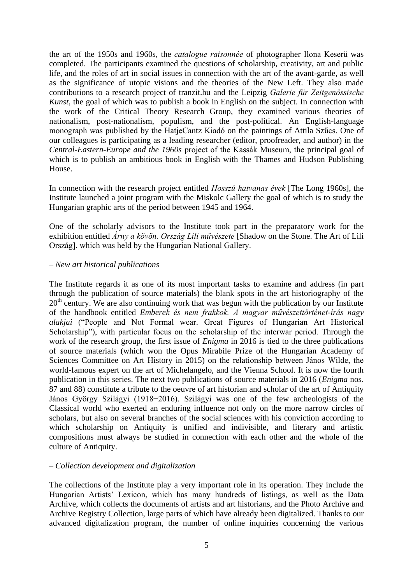the art of the 1950s and 1960s, the *catalogue raisonnée* of photographer Ilona Keserü was completed. The participants examined the questions of scholarship, creativity, art and public life, and the roles of art in social issues in connection with the art of the avant-garde, as well as the significance of utopic visions and the theories of the New Left. They also made contributions to a research project of tranzit.hu and the Leipzig *Galerie für Zeitgenössische Kunst*, the goal of which was to publish a book in English on the subject. In connection with the work of the Critical Theory Research Group, they examined various theories of nationalism, post-nationalism, populism, and the post-political. An English-language monograph was published by the HatjeCantz Kiadó on the paintings of Attila Szűcs. One of our colleagues is participating as a leading researcher (editor, proofreader, and author) in the *Central-Eastern-Europe and the 1960s* project of the Kassák Museum, the principal goal of which is to publish an ambitious book in English with the Thames and Hudson Publishing House.

In connection with the research project entitled *Hosszú hatvanas évek* [The Long 1960s], the Institute launched a joint program with the Miskolc Gallery the goal of which is to study the Hungarian graphic arts of the period between 1945 and 1964.

One of the scholarly advisors to the Institute took part in the preparatory work for the exhibition entitled *Árny a kövön. Ország Lili művészete* [Shadow on the Stone. The Art of Lili Ország], which was held by the Hungarian National Gallery.

## *– New art historical publications*

The Institute regards it as one of its most important tasks to examine and address (in part through the publication of source materials) the blank spots in the art historiography of the 20<sup>th</sup> century. We are also continuing work that was begun with the publication by our Institute of the handbook entitled *Emberek és nem frakkok. A magyar művészettörténet-írás nagy alakjai* ("People and Not Formal wear. Great Figures of Hungarian Art Historical Scholarship"), with particular focus on the scholarship of the interwar period. Through the work of the research group, the first issue of *Enigma* in 2016 is tied to the three publications of source materials (which won the Opus Mirabile Prize of the Hungarian Academy of Sciences Committee on Art History in 2015) on the relationship between János Wilde, the world-famous expert on the art of Michelangelo, and the Vienna School. It is now the fourth publication in this series. The next two publications of source materials in 2016 (*Enigma* nos. 87 and 88) constitute a tribute to the oeuvre of art historian and scholar of the art of Antiquity János György Szilágyi (1918−2016). Szilágyi was one of the few archeologists of the Classical world who exerted an enduring influence not only on the more narrow circles of scholars, but also on several branches of the social sciences with his conviction according to which scholarship on Antiquity is unified and indivisible, and literary and artistic compositions must always be studied in connection with each other and the whole of the culture of Antiquity.

## *– Collection development and digitalization*

The collections of the Institute play a very important role in its operation. They include the Hungarian Artists' Lexicon, which has many hundreds of listings, as well as the Data Archive, which collects the documents of artists and art historians, and the Photo Archive and Archive Registry Collection, large parts of which have already been digitalized. Thanks to our advanced digitalization program, the number of online inquiries concerning the various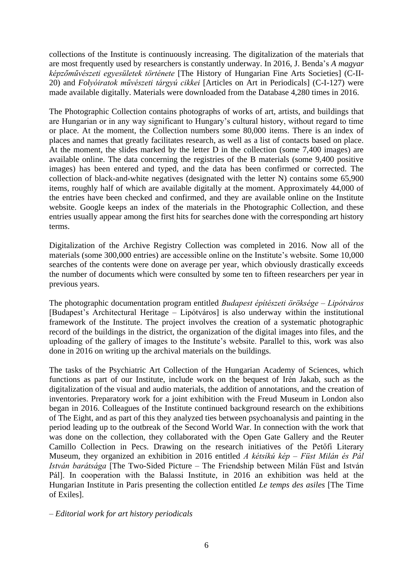collections of the Institute is continuously increasing. The digitalization of the materials that are most frequently used by researchers is constantly underway. In 2016, J. Benda's *A magyar képzőművészeti egyesületek története* [The History of Hungarian Fine Arts Societies] (C-II-20) and *Folyóiratok művészeti tárgyú cikkei* [Articles on Art in Periodicals] (C-I-127) were made available digitally. Materials were downloaded from the Database 4,280 times in 2016.

The Photographic Collection contains photographs of works of art, artists, and buildings that are Hungarian or in any way significant to Hungary's cultural history, without regard to time or place. At the moment, the Collection numbers some 80,000 items. There is an index of places and names that greatly facilitates research, as well as a list of contacts based on place. At the moment, the slides marked by the letter D in the collection (some 7,400 images) are available online. The data concerning the registries of the B materials (some 9,400 positive images) has been entered and typed, and the data has been confirmed or corrected. The collection of black-and-white negatives (designated with the letter N) contains some 65,900 items, roughly half of which are available digitally at the moment. Approximately 44,000 of the entries have been checked and confirmed, and they are available online on the Institute website. Google keeps an index of the materials in the Photographic Collection, and these entries usually appear among the first hits for searches done with the corresponding art history terms.

Digitalization of the Archive Registry Collection was completed in 2016. Now all of the materials (some 300,000 entries) are accessible online on the Institute's website. Some 10,000 searches of the contents were done on average per year, which obviously drastically exceeds the number of documents which were consulted by some ten to fifteen researchers per year in previous years.

The photographic documentation program entitled *Budapest építészeti öröksége – Lipótváros* [Budapest's Architectural Heritage – Lipótváros] is also underway within the institutional framework of the Institute. The project involves the creation of a systematic photographic record of the buildings in the district, the organization of the digital images into files, and the uploading of the gallery of images to the Institute's website. Parallel to this, work was also done in 2016 on writing up the archival materials on the buildings.

The tasks of the Psychiatric Art Collection of the Hungarian Academy of Sciences, which functions as part of our Institute, include work on the bequest of Irén Jakab, such as the digitalization of the visual and audio materials, the addition of annotations, and the creation of inventories. Preparatory work for a joint exhibition with the Freud Museum in London also began in 2016. Colleagues of the Institute continued background research on the exhibitions of The Eight, and as part of this they analyzed ties between psychoanalysis and painting in the period leading up to the outbreak of the Second World War. In connection with the work that was done on the collection, they collaborated with the Open Gate Gallery and the Reuter Camillo Collection in Pecs. Drawing on the research initiatives of the Petőfi Literary Museum, they organized an exhibition in 2016 entitled *A kétsíkú kép – Füst Milán és Pál István barátsága* [The Two-Sided Picture – The Friendship between Milán Füst and István Pál]. In cooperation with the Balassi Institute, in 2016 an exhibition was held at the Hungarian Institute in Paris presenting the collection entitled *Le temps des asiles* [The Time of Exiles].

*– Editorial work for art history periodicals*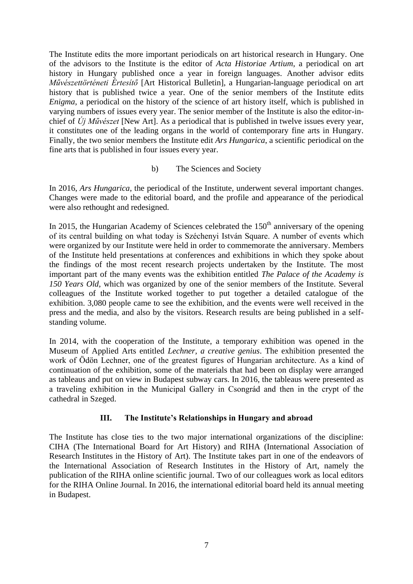The Institute edits the more important periodicals on art historical research in Hungary. One of the advisors to the Institute is the editor of *Acta Historiae Artium*, a periodical on art history in Hungary published once a year in foreign languages. Another advisor edits *Művészettörténeti Értesítő* [Art Historical Bulletin], a Hungarian-language periodical on art history that is published twice a year. One of the senior members of the Institute edits *Enigma*, a periodical on the history of the science of art history itself, which is published in varying numbers of issues every year. The senior member of the Institute is also the editor-inchief of *Új Művészet* [New Art]. As a periodical that is published in twelve issues every year, it constitutes one of the leading organs in the world of contemporary fine arts in Hungary. Finally, the two senior members the Institute edit *Ars Hungarica*, a scientific periodical on the fine arts that is published in four issues every year.

## b) The Sciences and Society

In 2016, *Ars Hungarica*, the periodical of the Institute, underwent several important changes. Changes were made to the editorial board, and the profile and appearance of the periodical were also rethought and redesigned.

In 2015, the Hungarian Academy of Sciences celebrated the  $150<sup>th</sup>$  anniversary of the opening of its central building on what today is Széchenyi István Square. A number of events which were organized by our Institute were held in order to commemorate the anniversary. Members of the Institute held presentations at conferences and exhibitions in which they spoke about the findings of the most recent research projects undertaken by the Institute. The most important part of the many events was the exhibition entitled *The Palace of the Academy is 150 Years Old*, which was organized by one of the senior members of the Institute. Several colleagues of the Institute worked together to put together a detailed catalogue of the exhibition. 3,080 people came to see the exhibition, and the events were well received in the press and the media, and also by the visitors. Research results are being published in a selfstanding volume.

In 2014, with the cooperation of the Institute, a temporary exhibition was opened in the Museum of Applied Arts entitled *Lechner, a creative genius*. The exhibition presented the work of Ödön Lechner, one of the greatest figures of Hungarian architecture. As a kind of continuation of the exhibition, some of the materials that had been on display were arranged as tableaus and put on view in Budapest subway cars. In 2016, the tableaus were presented as a traveling exhibition in the Municipal Gallery in Csongrád and then in the crypt of the cathedral in Szeged.

# **III. The Institute's Relationships in Hungary and abroad**

The Institute has close ties to the two major international organizations of the discipline: CIHA (The International Board for Art History) and RIHA (International Association of Research Institutes in the History of Art). The Institute takes part in one of the endeavors of the International Association of Research Institutes in the History of Art, namely the publication of the RIHA online scientific journal. Two of our colleagues work as local editors for the RIHA Online Journal. In 2016, the international editorial board held its annual meeting in Budapest.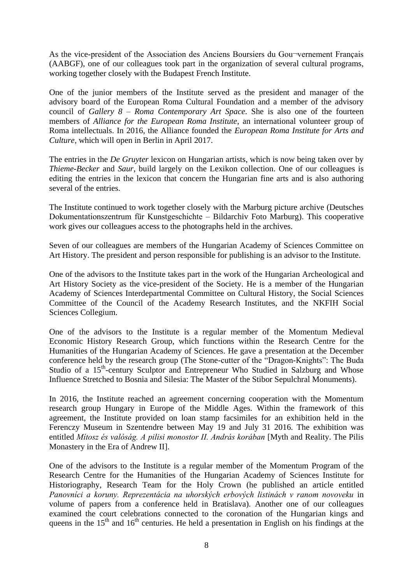As the vice-president of the Association des Anciens Boursiers du Gou¬vernement Français (AABGF), one of our colleagues took part in the organization of several cultural programs, working together closely with the Budapest French Institute.

One of the junior members of the Institute served as the president and manager of the advisory board of the European Roma Cultural Foundation and a member of the advisory council of *Gallery 8 – Roma Contemporary Art Space*. She is also one of the fourteen members of *Alliance for the European Roma Institute*, an international volunteer group of Roma intellectuals. In 2016, the Alliance founded the *European Roma Institute for Arts and Culture*, which will open in Berlin in April 2017.

The entries in the *De Gruyter* lexicon on Hungarian artists, which is now being taken over by *Thieme-Becker* and *Saur*, build largely on the Lexikon collection. One of our colleagues is editing the entries in the lexicon that concern the Hungarian fine arts and is also authoring several of the entries.

The Institute continued to work together closely with the Marburg picture archive (Deutsches Dokumentationszentrum für Kunstgeschichte – Bildarchiv Foto Marburg). This cooperative work gives our colleagues access to the photographs held in the archives.

Seven of our colleagues are members of the Hungarian Academy of Sciences Committee on Art History. The president and person responsible for publishing is an advisor to the Institute.

One of the advisors to the Institute takes part in the work of the Hungarian Archeological and Art History Society as the vice-president of the Society. He is a member of the Hungarian Academy of Sciences Interdepartmental Committee on Cultural History, the Social Sciences Committee of the Council of the Academy Research Institutes, and the NKFIH Social Sciences Collegium.

One of the advisors to the Institute is a regular member of the Momentum Medieval Economic History Research Group, which functions within the Research Centre for the Humanities of the Hungarian Academy of Sciences. He gave a presentation at the December conference held by the research group (The Stone-cutter of the "Dragon-Knights": The Buda Studio of a 15<sup>th</sup>-century Sculptor and Entrepreneur Who Studied in Salzburg and Whose Influence Stretched to Bosnia and Silesia: The Master of the Stibor Sepulchral Monuments).

In 2016, the Institute reached an agreement concerning cooperation with the Momentum research group Hungary in Europe of the Middle Ages. Within the framework of this agreement, the Institute provided on loan stamp facsimiles for an exhibition held in the Ferenczy Museum in Szentendre between May 19 and July 31 2016. The exhibition was entitled *Mítosz és valóság. A pilisi monostor II. András korában* [Myth and Reality. The Pilis Monastery in the Era of Andrew II].

One of the advisors to the Institute is a regular member of the Momentum Program of the Research Centre for the Humanities of the Hungarian Academy of Sciences Institute for Historiography, Research Team for the Holy Crown (he published an article entitled *Panovníci a koruny. Reprezentácia na uhorských erbových listinách v ranom novoveku* in volume of papers from a conference held in Bratislava). Another one of our colleagues examined the court celebrations connected to the coronation of the Hungarian kings and queens in the  $15<sup>th</sup>$  and  $16<sup>th</sup>$  centuries. He held a presentation in English on his findings at the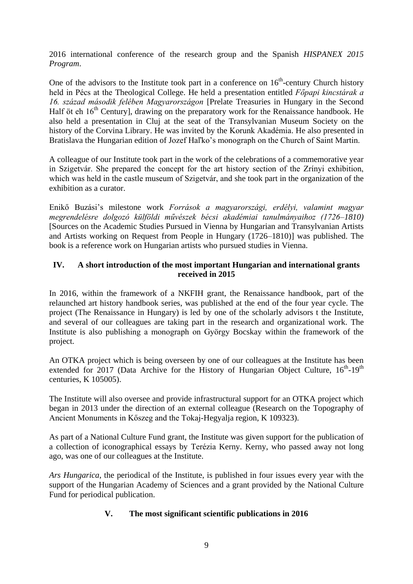2016 international conference of the research group and the Spanish *HISPANEX 2015 Program*.

One of the advisors to the Institute took part in a conference on  $16<sup>th</sup>$ -century Church history held in Pécs at the Theological College. He held a presentation entitled *Főpapi kincstárak a 16. század második felében Magyarországon* [Prelate Treasuries in Hungary in the Second Half öt eh  $16<sup>th</sup>$  Century], drawing on the preparatory work for the Renaissance handbook. He also held a presentation in Cluj at the seat of the Transylvanian Museum Society on the history of the Corvina Library. He was invited by the Korunk Akadémia. He also presented in Bratislava the Hungarian edition of Jozef Haľko's monograph on the Church of Saint Martin.

A colleague of our Institute took part in the work of the celebrations of a commemorative year in Szigetvár. She prepared the concept for the art history section of the Zrínyi exhibition, which was held in the castle museum of Szigetvár, and she took part in the organization of the exhibition as a curator.

Enikő Buzási's milestone work *Források a magyarországi, erdélyi, valamint magyar megrendelésre dolgozó külföldi művészek bécsi akadémiai tanulmányaihoz (1726–1810)* [Sources on the Academic Studies Pursued in Vienna by Hungarian and Transylvanian Artists and Artists working on Request from People in Hungary (1726–1810)] was published. The book is a reference work on Hungarian artists who pursued studies in Vienna.

# **IV. A short introduction of the most important Hungarian and international grants received in 2015**

In 2016, within the framework of a NKFIH grant, the Renaissance handbook, part of the relaunched art history handbook series, was published at the end of the four year cycle. The project (The Renaissance in Hungary) is led by one of the scholarly advisors t the Institute, and several of our colleagues are taking part in the research and organizational work. The Institute is also publishing a monograph on György Bocskay within the framework of the project.

An OTKA project which is being overseen by one of our colleagues at the Institute has been extended for 2017 (Data Archive for the History of Hungarian Object Culture,  $16<sup>th</sup>$ -19<sup>th</sup> centuries, K 105005).

The Institute will also oversee and provide infrastructural support for an OTKA project which began in 2013 under the direction of an external colleague (Research on the Topography of Ancient Monuments in Kőszeg and the Tokaj-Hegyalja region, K 109323).

As part of a National Culture Fund grant, the Institute was given support for the publication of a collection of iconographical essays by Terézia Kerny. Kerny, who passed away not long ago, was one of our colleagues at the Institute.

*Ars Hungarica*, the periodical of the Institute, is published in four issues every year with the support of the Hungarian Academy of Sciences and a grant provided by the National Culture Fund for periodical publication.

# **V. The most significant scientific publications in 2016**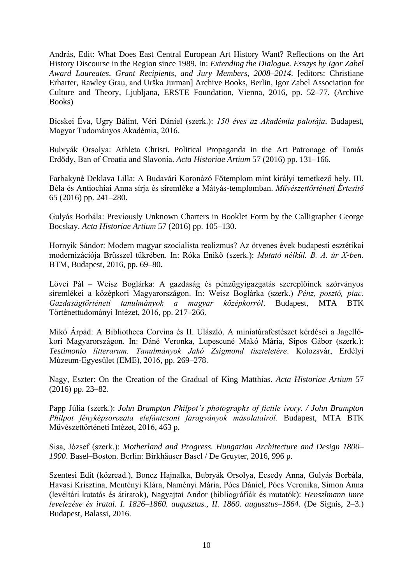András, Edit: What Does East Central European Art History Want? Reflections on the Art History Discourse in the Region since 1989. In: *Extending the Dialogue. Essays by Igor Zabel Award Laureates, Grant Recipients, and Jury Members, 2008–2014*. [editors: Christiane Erharter, Rawley Grau, and Urška Jurman] Archive Books, Berlin, Igor Zabel Association for Culture and Theory, Ljubljana, ERSTE Foundation, Vienna, 2016, pp. 52–77. (Archive Books)

Bicskei Éva, Ugry Bálint, Véri Dániel (szerk.): *150 éves az Akadémia palotája.* Budapest, Magyar Tudományos Akadémia, 2016.

Bubryák Orsolya: Athleta Christi. Political Propaganda in the Art Patronage of Tamás Erdődy, Ban of Croatia and Slavonia. *Acta Historiae Artium* 57 (2016) pp. 131–166.

Farbakyné Deklava Lilla: A Budavári Koronázó Főtemplom mint királyi temetkező hely. III. Béla és Antiochiai Anna sírja és síremléke a Mátyás-templomban. *Művészettörténeti Értesítő* 65 (2016) pp. 241–280.

Gulyás Borbála: Previously Unknown Charters in Booklet Form by the Calligrapher George Bocskay. *Acta Historiae Artium* 57 (2016) pp. 105–130.

Hornyik Sándor: Modern magyar szocialista realizmus? Az ötvenes évek budapesti esztétikai modernizációja Brüsszel tükrében. In: Róka Enikő (szerk.): *Mutató nélkül. B. A. úr X-ben*. BTM, Budapest, 2016, pp. 69–80.

Lővei Pál – Weisz Boglárka: A gazdaság és pénzügyigazgatás szereplőinek szórványos síremlékei a középkori Magyarországon. In: Weisz Boglárka (szerk.) *Pénz, posztó, piac. Gazdaságtörténeti tanulmányok a magyar középkorról*. Budapest, MTA BTK Történettudományi Intézet, 2016, pp. 217–266.

Mikó Árpád: A Bibliotheca Corvina és II. Ulászló. A miniatúrafestészet kérdései a Jagellókori Magyarországon. In: Dáné Veronka, Lupescuné Makó Mária, Sipos Gábor (szerk.): *Testimonio litterarum. Tanulmányok Jakó Zsigmond tiszteletére*. Kolozsvár, Erdélyi Múzeum-Egyesület (EME), 2016, pp. 269–278.

Nagy, Eszter: On the Creation of the Gradual of King Matthias. *Acta Historiae Artium* 57 (2016) pp. 23–82.

Papp Júlia (szerk.): *John Brampton Philpot's photographs of fictile ivory. / John Brampton Philpot fényképsorozata elefántcsont faragványok másolatairól.* Budapest, MTA BTK Művészettörténeti Intézet, 2016, 463 p.

Sisa, József (szerk.): *Motherland and Progress. Hungarian Architecture and Design 1800– 1900*. Basel–Boston. Berlin: Birkhäuser Basel / De Gruyter, 2016, 996 p.

Szentesi Edit (közread.), Boncz Hajnalka, Bubryák Orsolya, Ecsedy Anna, Gulyás Borbála, Havasi Krisztina, Mentényi Klára, Naményi Mária, Pócs Dániel, Pócs Veronika, Simon Anna (levéltári kutatás és átiratok), Nagyajtai Andor (bibliográfiák és mutatók): *Henszlmann Imre levelezése és iratai. I. 1826–1860. augusztus., II. 1860. augusztus–1864.* (De Signis, 2–3.) Budapest, Balassi, 2016.